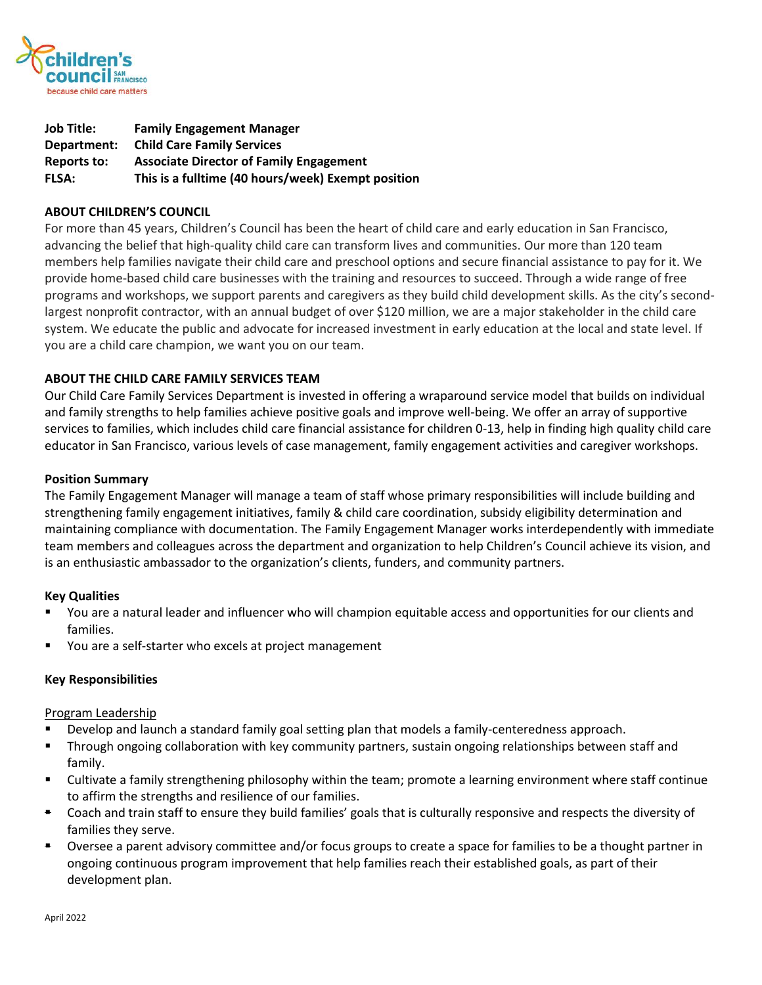

| <b>Job Title:</b> | <b>Family Engagement Manager</b>                   |
|-------------------|----------------------------------------------------|
| Department:       | <b>Child Care Family Services</b>                  |
| Reports to:       | <b>Associate Director of Family Engagement</b>     |
| <b>FLSA:</b>      | This is a fulltime (40 hours/week) Exempt position |

## **ABOUT CHILDREN'S COUNCIL**

For more than 45 years, Children's Council has been the heart of child care and early education in San Francisco, advancing the belief that high-quality child care can transform lives and communities. Our more than 120 team members help families navigate their child care and preschool options and secure financial assistance to pay for it. We provide home-based child care businesses with the training and resources to succeed. Through a wide range of free programs and workshops, we support parents and caregivers as they build child development skills. As the city's secondlargest nonprofit contractor, with an annual budget of over \$120 million, we are a major stakeholder in the child care system. We educate the public and advocate for increased investment in early education at the local and state level. If you are a child care champion, we want you on our team.

### **ABOUT THE CHILD CARE FAMILY SERVICES TEAM**

Our Child Care Family Services Department is invested in offering a wraparound service model that builds on individual and family strengths to help families achieve positive goals and improve well-being. We offer an array of supportive services to families, which includes child care financial assistance for children 0-13, help in finding high quality child care educator in San Francisco, various levels of case management, family engagement activities and caregiver workshops.

### **Position Summary**

The Family Engagement Manager will manage a team of staff whose primary responsibilities will include building and strengthening family engagement initiatives, family & child care coordination, subsidy eligibility determination and maintaining compliance with documentation. The Family Engagement Manager works interdependently with immediate team members and colleagues across the department and organization to help Children's Council achieve its vision, and is an enthusiastic ambassador to the organization's clients, funders, and community partners.

### **Key Qualities**

- You are a natural leader and influencer who will champion equitable access and opportunities for our clients and families.
- You are a self-starter who excels at project management

### **Key Responsibilities**

### Program Leadership

- Develop and launch a standard family goal setting plan that models a family-centeredness approach.
- Through ongoing collaboration with key community partners, sustain ongoing relationships between staff and family.
- Cultivate a family strengthening philosophy within the team; promote a learning environment where staff continue to affirm the strengths and resilience of our families.
- Coach and train staff to ensure they build families' goals that is culturally responsive and respects the diversity of families they serve.
- Oversee a parent advisory committee and/or focus groups to create a space for families to be a thought partner in ongoing continuous program improvement that help families reach their established goals, as part of their development plan.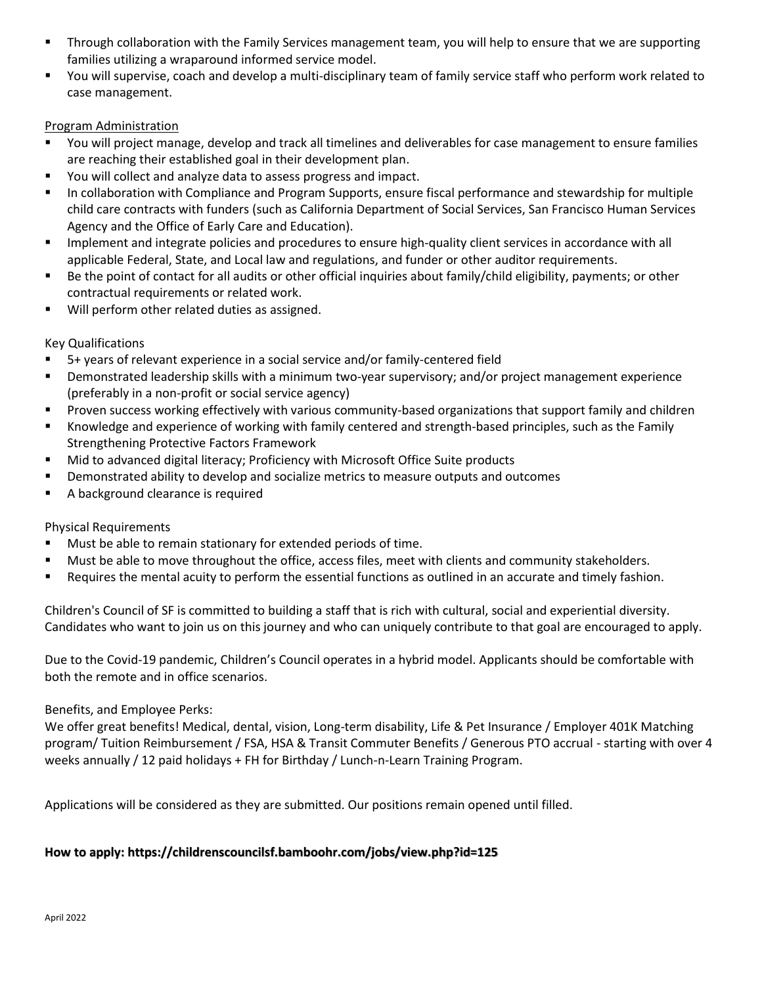- Through collaboration with the Family Services management team, you will help to ensure that we are supporting families utilizing a wraparound informed service model.
- You will supervise, coach and develop a multi-disciplinary team of family service staff who perform work related to case management.

## Program Administration

- You will project manage, develop and track all timelines and deliverables for case management to ensure families are reaching their established goal in their development plan.
- You will collect and analyze data to assess progress and impact.
- In collaboration with Compliance and Program Supports, ensure fiscal performance and stewardship for multiple child care contracts with funders (such as California Department of Social Services, San Francisco Human Services Agency and the Office of Early Care and Education).
- **EXECT** Implement and integrate policies and procedures to ensure high-quality client services in accordance with all applicable Federal, State, and Local law and regulations, and funder or other auditor requirements.
- Be the point of contact for all audits or other official inquiries about family/child eligibility, payments; or other contractual requirements or related work.
- Will perform other related duties as assigned.

# Key Qualifications

- 5+ years of relevant experience in a social service and/or family-centered field
- **EXEDER IDE ADDET IS DETETA IS NOTE THE MINO IS SET UP:** Demonstrated leadership supervisory; and/or project management experience (preferably in a non-profit or social service agency)
- Proven success working effectively with various community-based organizations that support family and children
- Knowledge and experience of working with family centered and strength-based principles, such as the Family Strengthening Protective Factors Framework
- Mid to advanced digital literacy; Proficiency with Microsoft Office Suite products
- Demonstrated ability to develop and socialize metrics to measure outputs and outcomes
- A background clearance is required

## Physical Requirements

- Must be able to remain stationary for extended periods of time.
- Must be able to move throughout the office, access files, meet with clients and community stakeholders.
- Requires the mental acuity to perform the essential functions as outlined in an accurate and timely fashion.

Children's Council of SF is committed to building a staff that is rich with cultural, social and experiential diversity. Candidates who want to join us on this journey and who can uniquely contribute to that goal are encouraged to apply.  

Due to the Covid-19 pandemic, Children's Council operates in a hybrid model. Applicants should be comfortable with both the remote and in office scenarios.  

## Benefits, and Employee Perks:

We offer great benefits! Medical, dental, vision, Long-term disability, Life & Pet Insurance / Employer 401K Matching program/ Tuition Reimbursement / FSA, HSA & Transit Commuter Benefits / Generous PTO accrual - starting with over 4 weeks annually / 12 paid holidays + FH for Birthday / Lunch-n-Learn Training Program.  

Applications will be considered as they are submitted. Our positions remain opened until filled.

## **How to apply: https://childrenscouncilsf.bamboohr.com/jobs/view.php?id=125**